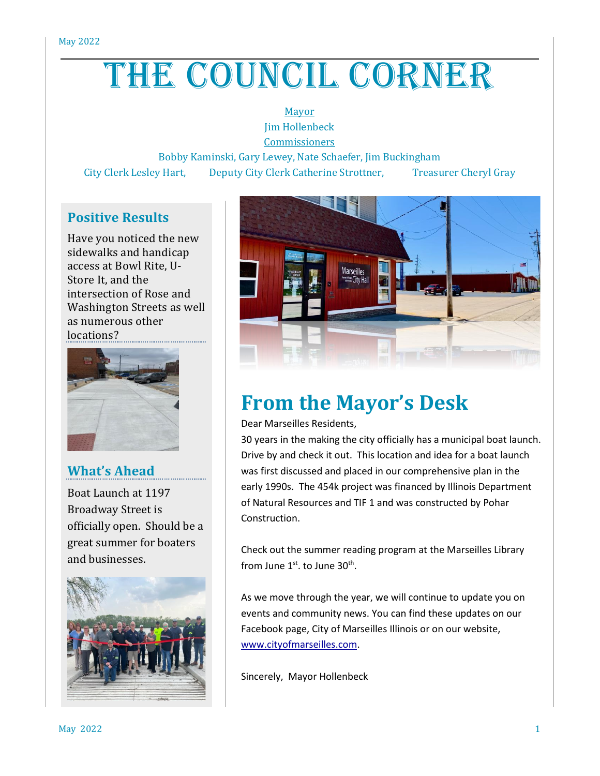# THE COUNCIL CORNER

#### Mayor Jim Hollenbeck

**Commissioners** 

Bobby Kaminski, Gary Lewey, Nate Schaefer, Jim Buckingham

City Clerk Lesley Hart, Deputy City Clerk Catherine Strottner, Treasurer Cheryl Gray

### **Positive Results**

Have you noticed the new sidewalks and handicap access at Bowl Rite, U-Store It, and the intersection of Rose and Washington Streets as well as numerous other locations?



### **What's Ahead**

Boat Launch at 1197 Broadway Street is officially open. Should be a great summer for boaters and businesses.





### **From the Mayor's Desk**

### Dear Marseilles Residents,

30 years in the making the city officially has a municipal boat launch. Drive by and check it out. This location and idea for a boat launch was first discussed and placed in our comprehensive plan in the early 1990s. The 454k project was financed by Illinois Department of Natural Resources and TIF 1 and was constructed by Pohar Construction.

Check out the summer reading program at the Marseilles Library from June  $1^\text{st}$ . to June  $30^\text{th}$ .

As we move through the year, we will continue to update you on events and community news. You can find these updates on our Facebook page, City of Marseilles Illinois or on our website, [www.cityofmarseilles.com.](http://www.cityofmarseilles.com/)

Sincerely, Mayor Hollenbeck